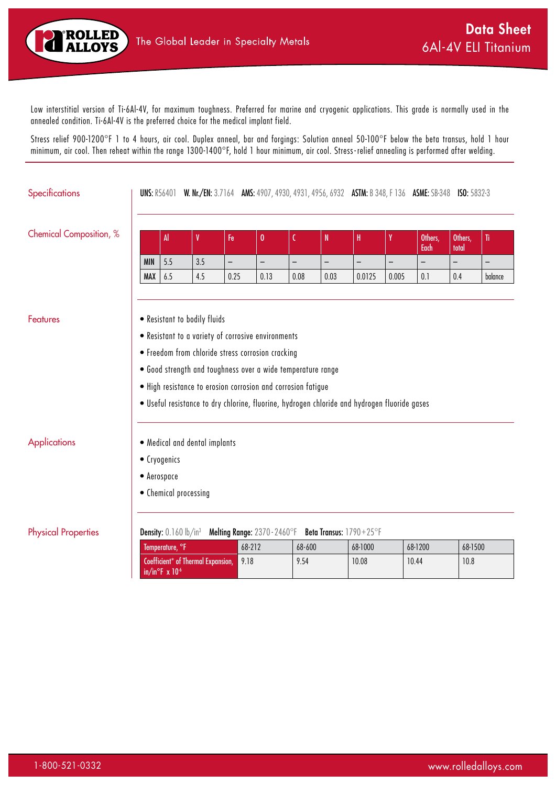

Low interstitial version of Ti-6Al-4V, for maximum toughness. Preferred for marine and cryogenic applications. This grade is normally used in the annealed condition. Ti-6Al-4V is the preferred choice for the medical implant field.

Stress relief 900-1200°F 1 to 4 hours, air cool. Duplex anneal, bar and forgings: Solution anneal 50-100°F below the beta transus, hold 1 hour minimum, air cool. Then reheat within the range 1300-1400°F, hold 1 hour minimum, air cool. Stress - relief annealing is performed after welding.

| Specifications             |                                                                                              |                                  | <b>UNS: R56401 W. Nr./EN: 3.7164 AMS: 4907, 4930, 4931, 4956, 6932 ASTM: B 348, F 136 ASME: SB-348 ISO: 5832-3</b> |                          |                              |                          |                          |                         |                   |                   |                   |                          |
|----------------------------|----------------------------------------------------------------------------------------------|----------------------------------|--------------------------------------------------------------------------------------------------------------------|--------------------------|------------------------------|--------------------------|--------------------------|-------------------------|-------------------|-------------------|-------------------|--------------------------|
| Chemical Composition, %    |                                                                                              | Al                               | V                                                                                                                  | Fe                       | 0                            | C                        | N                        | $\mathbf H$             | Y                 | Others,<br>Each   | Others,<br>total  | Ti                       |
|                            | <b>MIN</b>                                                                                   | 5.5                              | 3.5                                                                                                                | $\overline{\phantom{0}}$ | $\overline{\phantom{a}}$     | $\overline{\phantom{m}}$ | $\overline{\phantom{0}}$ | $\qquad \qquad -$       | $\qquad \qquad -$ | $\qquad \qquad -$ | $\qquad \qquad -$ | $\overline{\phantom{a}}$ |
|                            | MAX                                                                                          | 6.5                              | 4.5                                                                                                                | 0.25                     | 0.13                         | 0.08                     | 0.03                     | 0.0125                  | 0.005             | 0.1               | 0.4               | balance                  |
| <b>Features</b>            | • Resistant to bodily fluids                                                                 |                                  |                                                                                                                    |                          |                              |                          |                          |                         |                   |                   |                   |                          |
|                            | • Resistant to a variety of corrosive environments                                           |                                  |                                                                                                                    |                          |                              |                          |                          |                         |                   |                   |                   |                          |
|                            | • Freedom from chloride stress corrosion cracking                                            |                                  |                                                                                                                    |                          |                              |                          |                          |                         |                   |                   |                   |                          |
|                            | . Good strength and toughness over a wide temperature range                                  |                                  |                                                                                                                    |                          |                              |                          |                          |                         |                   |                   |                   |                          |
|                            | . High resistance to erosion corrosion and corrosion fatigue                                 |                                  |                                                                                                                    |                          |                              |                          |                          |                         |                   |                   |                   |                          |
|                            | . Useful resistance to dry chlorine, fluorine, hydrogen chloride and hydrogen fluoride gases |                                  |                                                                                                                    |                          |                              |                          |                          |                         |                   |                   |                   |                          |
| <b>Applications</b>        | • Medical and dental implants                                                                |                                  |                                                                                                                    |                          |                              |                          |                          |                         |                   |                   |                   |                          |
|                            | • Cryogenics                                                                                 |                                  |                                                                                                                    |                          |                              |                          |                          |                         |                   |                   |                   |                          |
|                            | • Aerospace                                                                                  |                                  |                                                                                                                    |                          |                              |                          |                          |                         |                   |                   |                   |                          |
|                            | • Chemical processing                                                                        |                                  |                                                                                                                    |                          |                              |                          |                          |                         |                   |                   |                   |                          |
| <b>Physical Properties</b> |                                                                                              | <b>Density:</b> $0.160$ $lb/in3$ |                                                                                                                    |                          | Melting Range: 2370 - 2460°F |                          |                          | Beta Transus: 1790+25°F |                   |                   |                   |                          |
|                            |                                                                                              | Temperature, °F                  |                                                                                                                    |                          | 68-212                       | 68-600                   |                          | 68-1000                 |                   | 68-1200           | 68-1500           |                          |
|                            |                                                                                              | in/in $\degree$ F x 10 $\degree$ | Coefficient* of Thermal Expansion,                                                                                 | 9.18                     |                              | 9.54                     |                          | 10.08                   |                   | 10.44             | 10.8              |                          |